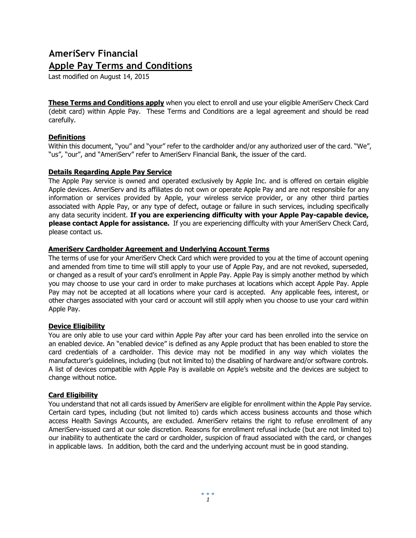# **AmeriServ Financial Apple Pay Terms and Conditions**

Last modified on August 14, 2015

**These Terms and Conditions apply** when you elect to enroll and use your eligible AmeriServ Check Card (debit card) within Apple Pay. These Terms and Conditions are a legal agreement and should be read carefully.

## **Definitions**

Within this document, "you" and "your" refer to the cardholder and/or any authorized user of the card. "We", "us", "our", and "AmeriServ" refer to AmeriServ Financial Bank, the issuer of the card.

## **Details Regarding Apple Pay Service**

The Apple Pay service is owned and operated exclusively by Apple Inc. and is offered on certain eligible Apple devices. AmeriServ and its affiliates do not own or operate Apple Pay and are not responsible for any information or services provided by Apple, your wireless service provider, or any other third parties associated with Apple Pay, or any type of defect, outage or failure in such services, including specifically any data security incident. **If you are experiencing difficulty with your Apple Pay-capable device, please contact Apple for assistance.** If you are experiencing difficulty with your AmeriServ Check Card, please contact us.

## **AmeriServ Cardholder Agreement and Underlying Account Terms**

The terms of use for your AmeriServ Check Card which were provided to you at the time of account opening and amended from time to time will still apply to your use of Apple Pay, and are not revoked, superseded, or changed as a result of your card's enrollment in Apple Pay. Apple Pay is simply another method by which you may choose to use your card in order to make purchases at locations which accept Apple Pay. Apple Pay may not be accepted at all locations where your card is accepted. Any applicable fees, interest, or other charges associated with your card or account will still apply when you choose to use your card within Apple Pay.

# **Device Eligibility**

You are only able to use your card within Apple Pay after your card has been enrolled into the service on an enabled device. An "enabled device" is defined as any Apple product that has been enabled to store the card credentials of a cardholder. This device may not be modified in any way which violates the manufacturer's guidelines, including (but not limited to) the disabling of hardware and/or software controls. A list of devices compatible with Apple Pay is available on Apple's website and the devices are subject to change without notice.

# **Card Eligibility**

You understand that not all cards issued by AmeriServ are eligible for enrollment within the Apple Pay service. Certain card types, including (but not limited to) cards which access business accounts and those which access Health Savings Accounts, are excluded. AmeriServ retains the right to refuse enrollment of any AmeriServ-issued card at our sole discretion. Reasons for enrollment refusal include (but are not limited to) our inability to authenticate the card or cardholder, suspicion of fraud associated with the card, or changes in applicable laws. In addition, both the card and the underlying account must be in good standing.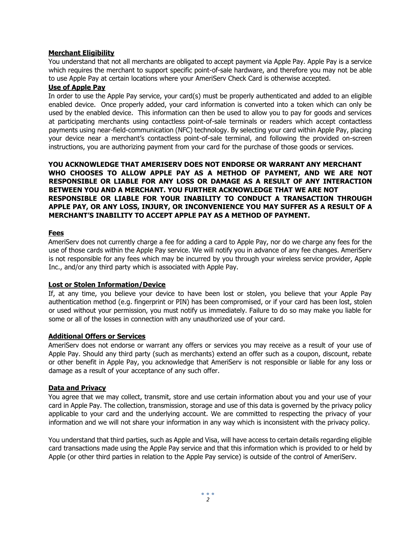## **Merchant Eligibility**

You understand that not all merchants are obligated to accept payment via Apple Pay. Apple Pay is a service which requires the merchant to support specific point-of-sale hardware, and therefore you may not be able to use Apple Pay at certain locations where your AmeriServ Check Card is otherwise accepted.

## **Use of Apple Pay**

In order to use the Apple Pay service, your card(s) must be properly authenticated and added to an eligible enabled device. Once properly added, your card information is converted into a token which can only be used by the enabled device. This information can then be used to allow you to pay for goods and services at participating merchants using contactless point-of-sale terminals or readers which accept contactless payments using near-field-communication (NFC) technology. By selecting your card within Apple Pay, placing your device near a merchant's contactless point-of-sale terminal, and following the provided on-screen instructions, you are authorizing payment from your card for the purchase of those goods or services.

**YOU ACKNOWLEDGE THAT AMERISERV DOES NOT ENDORSE OR WARRANT ANY MERCHANT WHO CHOOSES TO ALLOW APPLE PAY AS A METHOD OF PAYMENT, AND WE ARE NOT RESPONSIBLE OR LIABLE FOR ANY LOSS OR DAMAGE AS A RESULT OF ANY INTERACTION BETWEEN YOU AND A MERCHANT. YOU FURTHER ACKNOWLEDGE THAT WE ARE NOT RESPONSIBLE OR LIABLE FOR YOUR INABILITY TO CONDUCT A TRANSACTION THROUGH APPLE PAY, OR ANY LOSS, INJURY, OR INCONVENIENCE YOU MAY SUFFER AS A RESULT OF A MERCHANT'S INABILITY TO ACCEPT APPLE PAY AS A METHOD OF PAYMENT.** 

## **Fees**

AmeriServ does not currently charge a fee for adding a card to Apple Pay, nor do we charge any fees for the use of those cards within the Apple Pay service. We will notify you in advance of any fee changes. AmeriServ is not responsible for any fees which may be incurred by you through your wireless service provider, Apple Inc., and/or any third party which is associated with Apple Pay.

## **Lost or Stolen Information/Device**

If, at any time, you believe your device to have been lost or stolen, you believe that your Apple Pay authentication method (e.g. fingerprint or PIN) has been compromised, or if your card has been lost, stolen or used without your permission, you must notify us immediately. Failure to do so may make you liable for some or all of the losses in connection with any unauthorized use of your card.

## **Additional Offers or Services**

AmeriServ does not endorse or warrant any offers or services you may receive as a result of your use of Apple Pay. Should any third party (such as merchants) extend an offer such as a coupon, discount, rebate or other benefit in Apple Pay, you acknowledge that AmeriServ is not responsible or liable for any loss or damage as a result of your acceptance of any such offer.

## **Data and Privacy**

You agree that we may collect, transmit, store and use certain information about you and your use of your card in Apple Pay. The collection, transmission, storage and use of this data is governed by the privacy policy applicable to your card and the underlying account. We are committed to respecting the privacy of your information and we will not share your information in any way which is inconsistent with the privacy policy.

You understand that third parties, such as Apple and Visa, will have access to certain details regarding eligible card transactions made using the Apple Pay service and that this information which is provided to or held by Apple (or other third parties in relation to the Apple Pay service) is outside of the control of AmeriServ.